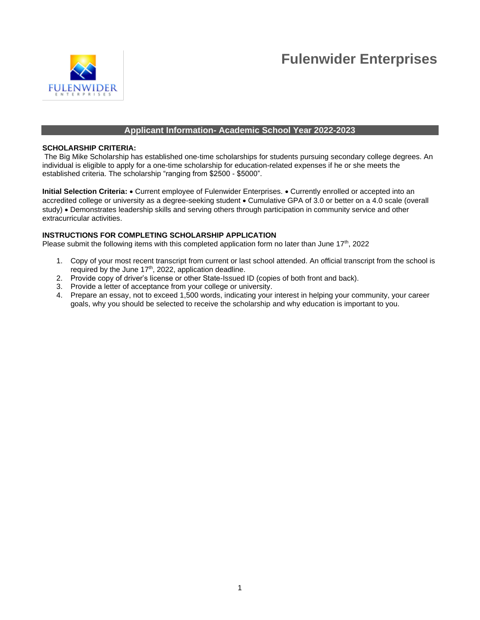



### **Applicant Information- Academic School Year 2022-2023**

#### **SCHOLARSHIP CRITERIA:**

The Big Mike Scholarship has established one-time scholarships for students pursuing secondary college degrees. An individual is eligible to apply for a one-time scholarship for education-related expenses if he or she meets the established criteria. The scholarship "ranging from \$2500 - \$5000".

**Initial Selection Criteria:** • Current employee of Fulenwider Enterprises. • Currently enrolled or accepted into an accredited college or university as a degree-seeking student • Cumulative GPA of 3.0 or better on a 4.0 scale (overall study) • Demonstrates leadership skills and serving others through participation in community service and other extracurricular activities.

#### **INSTRUCTIONS FOR COMPLETING SCHOLARSHIP APPLICATION**

Please submit the following items with this completed application form no later than June 17<sup>th</sup>, 2022

- 1. Copy of your most recent transcript from current or last school attended. An official transcript from the school is required by the June 17<sup>th</sup>, 2022, application deadline.
- 2. Provide copy of driver's license or other State-Issued ID (copies of both front and back).
- 3. Provide a letter of acceptance from your college or university.
- 4. Prepare an essay, not to exceed 1,500 words, indicating your interest in helping your community, your career goals, why you should be selected to receive the scholarship and why education is important to you.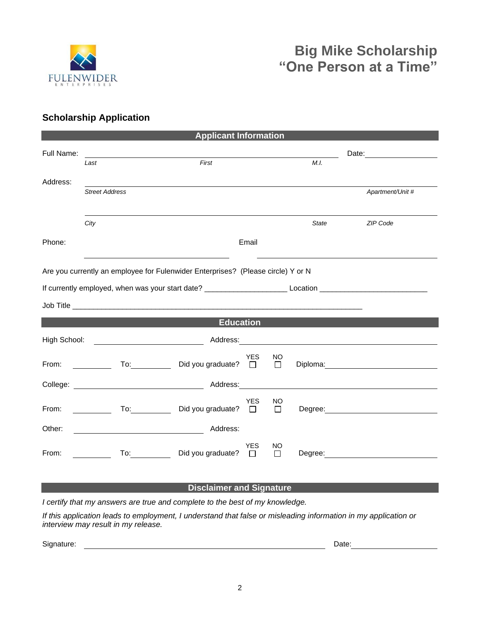

# **Scholarship Application**

| <b>Applicant Information</b>                                                     |                                                                                                                                                                                                                                                        |                                                                                                                |                     |              |                                                                                                                                                                                                                               |  |  |  |  |
|----------------------------------------------------------------------------------|--------------------------------------------------------------------------------------------------------------------------------------------------------------------------------------------------------------------------------------------------------|----------------------------------------------------------------------------------------------------------------|---------------------|--------------|-------------------------------------------------------------------------------------------------------------------------------------------------------------------------------------------------------------------------------|--|--|--|--|
| Full Name:                                                                       |                                                                                                                                                                                                                                                        |                                                                                                                |                     |              |                                                                                                                                                                                                                               |  |  |  |  |
|                                                                                  | Last                                                                                                                                                                                                                                                   | First                                                                                                          |                     | M.I.         |                                                                                                                                                                                                                               |  |  |  |  |
| Address:                                                                         |                                                                                                                                                                                                                                                        |                                                                                                                |                     |              |                                                                                                                                                                                                                               |  |  |  |  |
|                                                                                  | <b>Street Address</b>                                                                                                                                                                                                                                  |                                                                                                                |                     |              | Apartment/Unit #                                                                                                                                                                                                              |  |  |  |  |
|                                                                                  |                                                                                                                                                                                                                                                        |                                                                                                                |                     |              |                                                                                                                                                                                                                               |  |  |  |  |
|                                                                                  | City                                                                                                                                                                                                                                                   |                                                                                                                |                     | <b>State</b> | ZIP Code                                                                                                                                                                                                                      |  |  |  |  |
| Phone:                                                                           |                                                                                                                                                                                                                                                        | Email                                                                                                          |                     |              |                                                                                                                                                                                                                               |  |  |  |  |
| Are you currently an employee for Fulenwider Enterprises? (Please circle) Y or N |                                                                                                                                                                                                                                                        |                                                                                                                |                     |              |                                                                                                                                                                                                                               |  |  |  |  |
|                                                                                  |                                                                                                                                                                                                                                                        |                                                                                                                |                     |              |                                                                                                                                                                                                                               |  |  |  |  |
|                                                                                  |                                                                                                                                                                                                                                                        |                                                                                                                |                     |              |                                                                                                                                                                                                                               |  |  |  |  |
| <b>Education</b>                                                                 |                                                                                                                                                                                                                                                        |                                                                                                                |                     |              |                                                                                                                                                                                                                               |  |  |  |  |
| High School:                                                                     |                                                                                                                                                                                                                                                        |                                                                                                                |                     |              |                                                                                                                                                                                                                               |  |  |  |  |
| From:                                                                            | <u> a shekara ta 1999 a shekara t</u>                                                                                                                                                                                                                  | <b>YES</b><br>Did you graduate? $\Box$                                                                         | NO.<br>$\Box$       |              | Diploma: 2000 Company Company Company Company Company Company Company Company Company Company Company Company Company Company Company Company Company Company Company Company Company Company Company Company Company Company |  |  |  |  |
|                                                                                  |                                                                                                                                                                                                                                                        | Address: Andreas and the state of the state of the state of the state of the state of the state of the state o |                     |              | <u> 1980 - Jan Stein Stein Stein Stein Stein Stein Stein Stein Stein Stein Stein Stein Stein Stein Stein Stein S</u>                                                                                                          |  |  |  |  |
| From:                                                                            | To: the contract of the contract of the contract of the contract of the contract of the contract of the contract of the contract of the contract of the contract of the contract of the contract of the contract of the contra<br><u>and the state</u> | <b>YES</b><br>Did you graduate?<br>$\Box$                                                                      | <b>NO</b><br>$\Box$ |              |                                                                                                                                                                                                                               |  |  |  |  |
| Other:                                                                           | <u> 1980 - Johann Barbara, martin a</u>                                                                                                                                                                                                                | Address:                                                                                                       |                     |              |                                                                                                                                                                                                                               |  |  |  |  |
| From:                                                                            | To: and the state of the state of the state of the state of the state of the state of the state of the state o                                                                                                                                         | <b>YES</b><br>Did you graduate?<br>$\Box$                                                                      | NO.<br>$\Box$       |              | Degree: <u>__________________________</u>                                                                                                                                                                                     |  |  |  |  |

## **Disclaimer and Signature**

*I certify that my answers are true and complete to the best of my knowledge.* 

*If this application leads to employment, I understand that false or misleading information in my application or interview may result in my release.*

Signature: Date: Determine and Date: Date: Date: Date: Date: Date: Date: Date: Date: Date: Date: Date: Date: Date: Date: Date: Date: Date: Date: Date: Date: Date: Date: Date: Date: Date: Date: Date: Date: Date: Date: Date: